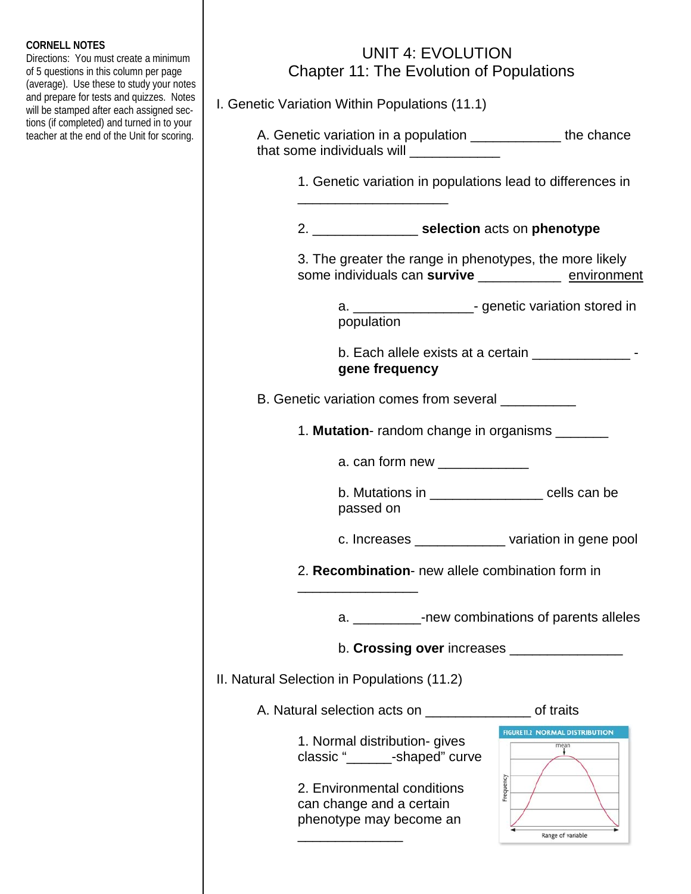## **CORNELL NOTES**

Directions: You must create a minimum of 5 questions in this column per page (average). Use these to study your notes and prepare for tests and quizzes. Notes will be stamped after each assigned sections (if completed) and turned in to your teacher at the end of the Unit for scoring.

## UNIT 4: EVOLUTION Chapter 11: The Evolution of Populations

I. Genetic Variation Within Populations (11.1)

 $\frac{1}{2}$  ,  $\frac{1}{2}$  ,  $\frac{1}{2}$  ,  $\frac{1}{2}$  ,  $\frac{1}{2}$  ,  $\frac{1}{2}$  ,  $\frac{1}{2}$  ,  $\frac{1}{2}$  ,  $\frac{1}{2}$  ,  $\frac{1}{2}$  ,  $\frac{1}{2}$  ,  $\frac{1}{2}$  ,  $\frac{1}{2}$  ,  $\frac{1}{2}$  ,  $\frac{1}{2}$  ,  $\frac{1}{2}$  ,  $\frac{1}{2}$  ,  $\frac{1}{2}$  ,  $\frac{1$ 

| A. Genetic variation in a population | the chance |
|--------------------------------------|------------|
| that some individuals will           |            |

1. Genetic variation in populations lead to differences in

2. \_\_\_\_\_\_\_\_\_\_\_\_\_\_ **selection** acts on **phenotype**

 3. The greater the range in phenotypes, the more likely some individuals can **survive** \_\_\_\_\_\_\_\_\_\_\_ environment

> a. \_\_\_\_\_\_\_\_\_\_\_\_\_\_\_\_\_\_\_\_\_- genetic variation stored in population

> b. Each allele exists at a certain \_\_\_\_\_\_\_\_\_\_\_\_\_ **gene frequency**

B. Genetic variation comes from several

1. **Mutation**- random change in organisms

a. can form new \_\_\_\_\_\_\_\_\_\_\_\_\_

 b. Mutations in \_\_\_\_\_\_\_\_\_\_\_\_\_\_\_ cells can be passed on

c. Increases \_\_\_\_\_\_\_\_\_\_\_\_ variation in gene pool

2. **Recombination**- new allele combination form in

a. **Example 2**-new combinations of parents alleles

b. **Crossing over** increases **with an all of the contract of the contract of the contract of the contract of the contract of the contract of the contract of the contract of the contract of the contract of the contract of t** 

II. Natural Selection in Populations (11.2)

 $\frac{1}{2}$  ,  $\frac{1}{2}$  ,  $\frac{1}{2}$  ,  $\frac{1}{2}$  ,  $\frac{1}{2}$  ,  $\frac{1}{2}$  ,  $\frac{1}{2}$  ,  $\frac{1}{2}$  ,  $\frac{1}{2}$  ,  $\frac{1}{2}$  ,  $\frac{1}{2}$  ,  $\frac{1}{2}$  ,  $\frac{1}{2}$  ,  $\frac{1}{2}$  ,  $\frac{1}{2}$  ,  $\frac{1}{2}$  ,  $\frac{1}{2}$  ,  $\frac{1}{2}$  ,  $\frac{1$ 

A. Natural selection acts on \_\_\_\_\_\_\_\_\_\_\_\_\_\_ of traits

 1. Normal distribution- gives classic "\_\_\_\_\_\_-shaped" curve

 2. Environmental conditions can change and a certain phenotype may become an  $\overline{\phantom{a}}$  , and the set of the set of the set of the set of the set of the set of the set of the set of the set of the set of the set of the set of the set of the set of the set of the set of the set of the set of the s

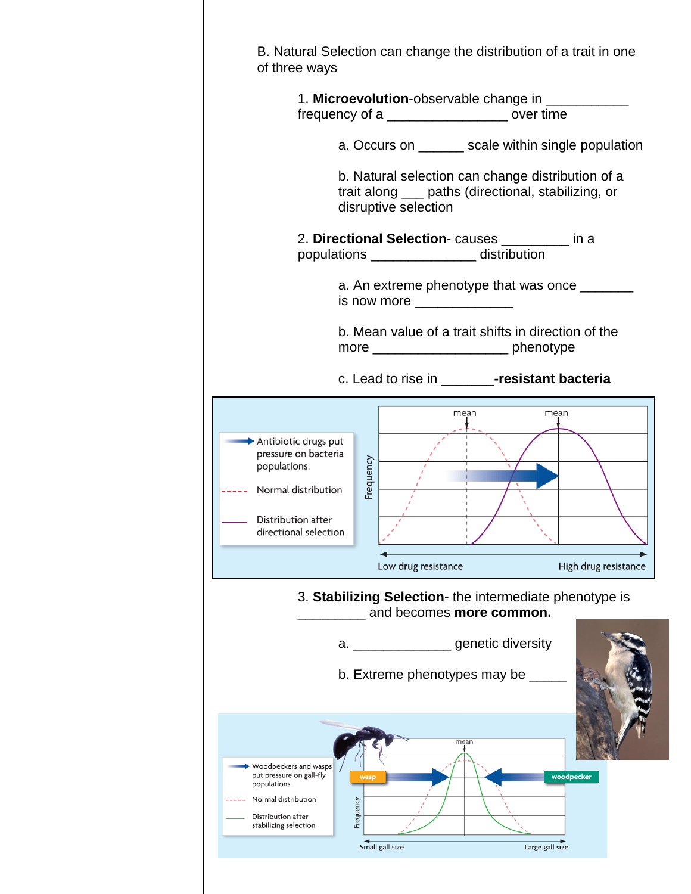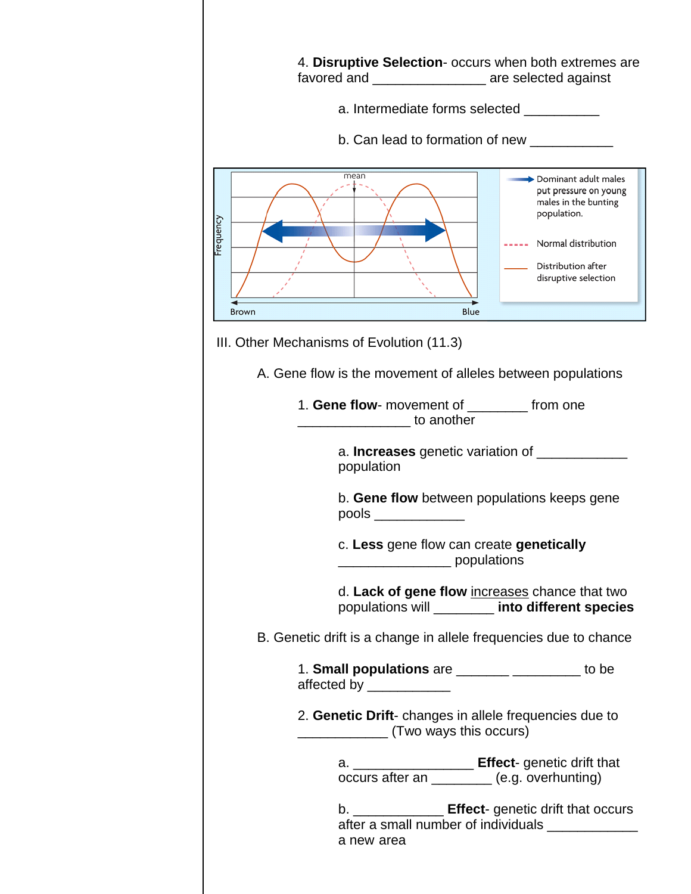| 4. Disruptive Selection- occurs when both extremes are<br>favored and ___________________ are selected against<br>a. Intermediate forms selected<br>b. Can lead to formation of new |                                                                                                                                                              |  |  |  |
|-------------------------------------------------------------------------------------------------------------------------------------------------------------------------------------|--------------------------------------------------------------------------------------------------------------------------------------------------------------|--|--|--|
| mean<br>Frequency<br>Blue<br><b>Brown</b>                                                                                                                                           | Dominant adult males<br>put pressure on young<br>males in the bunting<br>population.<br>-- Normal distribution<br>Distribution after<br>disruptive selection |  |  |  |
| III. Other Mechanisms of Evolution (11.3)                                                                                                                                           |                                                                                                                                                              |  |  |  |
| A. Gene flow is the movement of alleles between populations                                                                                                                         |                                                                                                                                                              |  |  |  |
| 1. Gene flow- movement of _________ from one<br>to another                                                                                                                          |                                                                                                                                                              |  |  |  |
| a. <b>Increases</b> genetic variation of _______<br>population<br>b. Gene flow between populations keeps gene<br>$\mathsf{pools} \_\_$                                              |                                                                                                                                                              |  |  |  |
| c. Less gene flow can create genetically<br>populations                                                                                                                             |                                                                                                                                                              |  |  |  |
| d. Lack of gene flow increases chance that two<br>populations will _______ into different species                                                                                   |                                                                                                                                                              |  |  |  |
| B. Genetic drift is a change in allele frequencies due to chance                                                                                                                    |                                                                                                                                                              |  |  |  |
| 1. Small populations are ____________________ to be<br>affected by $\frac{1}{2}$ affected by $\frac{1}{2}$ and $\frac{1}{2}$                                                        |                                                                                                                                                              |  |  |  |
| 2. Genetic Drift- changes in allele frequencies due to<br>(Two ways this occurs)                                                                                                    |                                                                                                                                                              |  |  |  |
| occurs after an ________ (e.g. overhunting)                                                                                                                                         | a. ______________________ Effect- genetic drift that                                                                                                         |  |  |  |
| a new area                                                                                                                                                                          | b. _____________________ Effect- genetic drift that occurs                                                                                                   |  |  |  |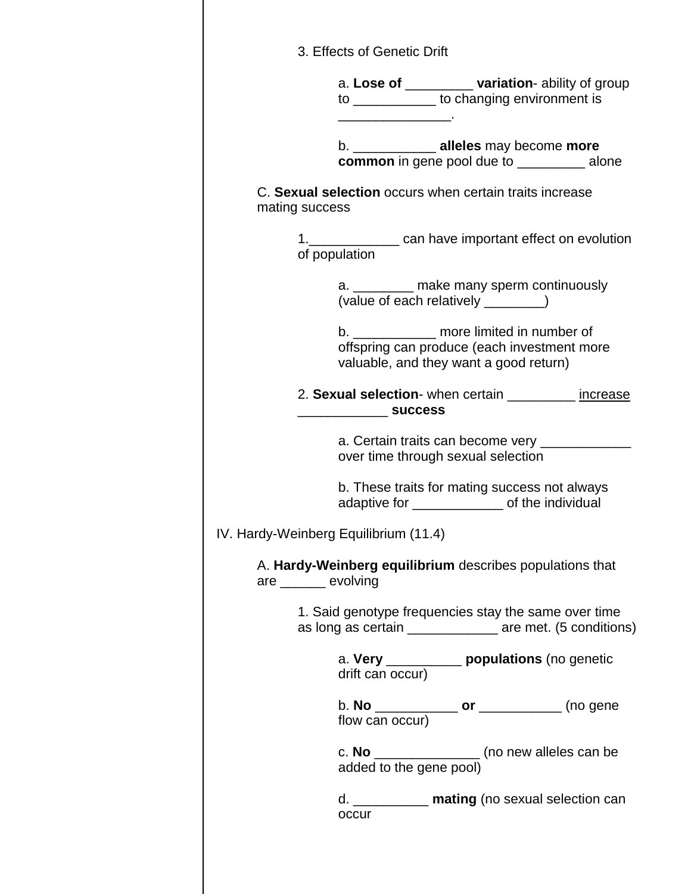|                                       | 3. Effects of Genetic Drift                                       |                                                                                                                                      |                                                           |
|---------------------------------------|-------------------------------------------------------------------|--------------------------------------------------------------------------------------------------------------------------------------|-----------------------------------------------------------|
|                                       | to _____________ to changing environment is                       |                                                                                                                                      | a. Lose of _________ variation-ability of group           |
|                                       |                                                                   | b. ________________ alleles may become more<br><b>common</b> in gene pool due to ______________ alone                                |                                                           |
| mating success                        | C. Sexual selection occurs when certain traits increase           |                                                                                                                                      |                                                           |
|                                       | of population                                                     |                                                                                                                                      | 1. Can have important effect on evolution                 |
|                                       |                                                                   | a. ________ make many sperm continuously<br>(value of each relatively ________)                                                      |                                                           |
|                                       |                                                                   | b. ______________ more limited in number of<br>offspring can produce (each investment more<br>valuable, and they want a good return) |                                                           |
|                                       | ________________ success                                          |                                                                                                                                      | 2. Sexual selection- when certain __________ increase     |
|                                       |                                                                   | a. Certain traits can become very ____________<br>over time through sexual selection                                                 |                                                           |
|                                       |                                                                   | b. These traits for mating success not always<br>adaptive for _______________ of the individual                                      |                                                           |
| IV. Hardy-Weinberg Equilibrium (11.4) |                                                                   |                                                                                                                                      |                                                           |
| are evolving                          | A. Hardy-Weinberg equilibrium describes populations that          |                                                                                                                                      |                                                           |
|                                       | 1. Said genotype frequencies stay the same over time              |                                                                                                                                      | as long as certain ______________ are met. (5 conditions) |
|                                       | a. Very _____________ populations (no genetic<br>drift can occur) |                                                                                                                                      |                                                           |
|                                       | flow can occur)                                                   | b. No ________________ or ______________ (no gene                                                                                    |                                                           |
|                                       | added to the gene pool)                                           | c. No __________________ (no new alleles can be                                                                                      |                                                           |
|                                       | occur                                                             |                                                                                                                                      | d. _____________ mating (no sexual selection can          |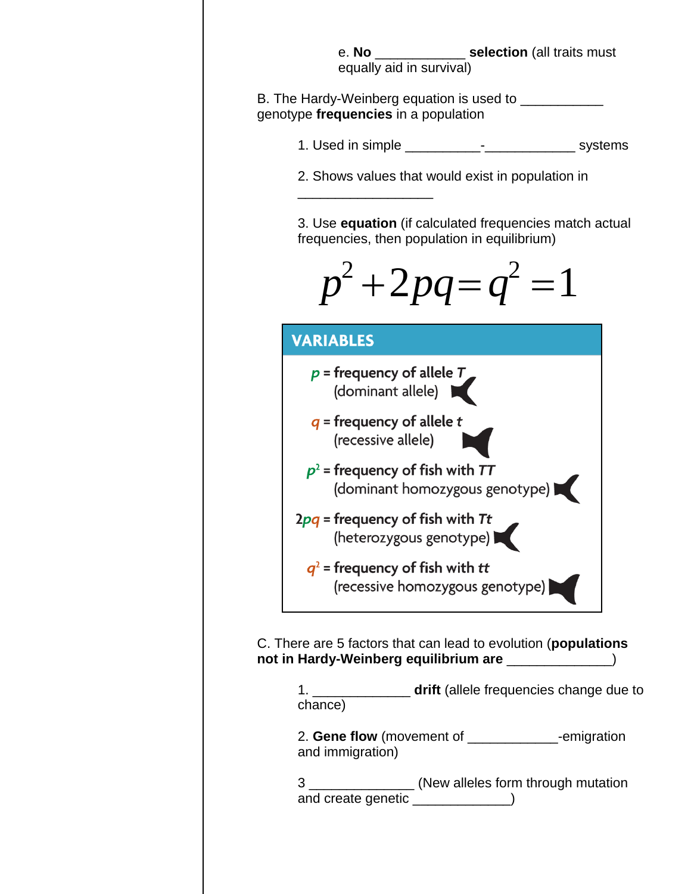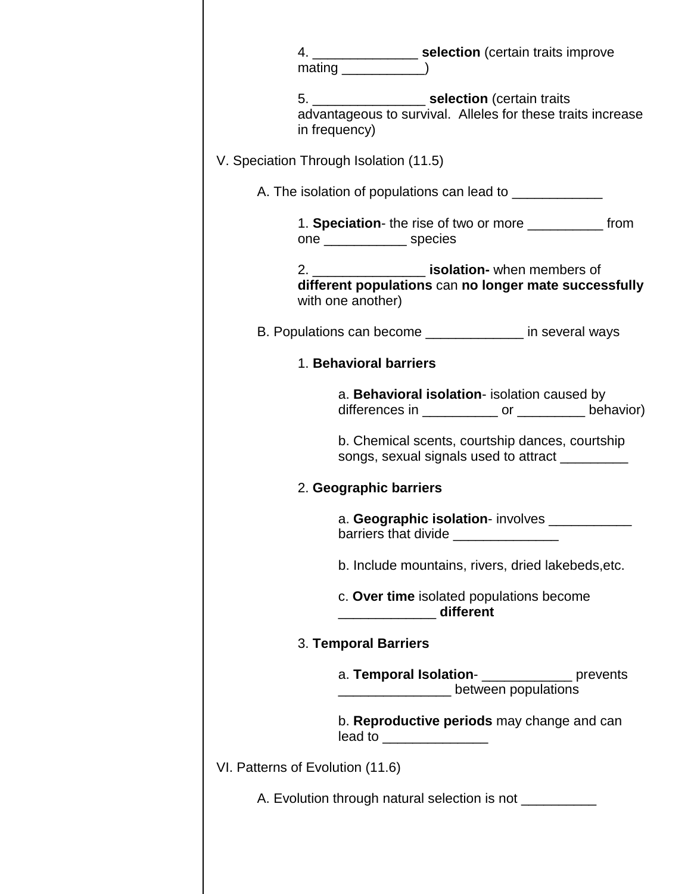| 4. _____________________ selection (certain traits improve<br>$mating$ <sub>____________</sub> )                                      |
|---------------------------------------------------------------------------------------------------------------------------------------|
| 5. ________________________ selection (certain traits<br>advantageous to survival. Alleles for these traits increase<br>in frequency) |
| V. Speciation Through Isolation (11.5)                                                                                                |
| A. The isolation of populations can lead to ______________                                                                            |
| 1. Speciation-the rise of two or more ______________ from<br>one _________________ species                                            |
| 2. _____________________ isolation- when members of<br>different populations can no longer mate successfully<br>with one another)     |
| B. Populations can become ____________ in several ways                                                                                |
| 1. Behavioral barriers                                                                                                                |
| a. Behavioral isolation- isolation caused by<br>differences in ______________ or ____________ behavior)                               |
| b. Chemical scents, courtship dances, courtship<br>songs, sexual signals used to attract __________                                   |
| 2. Geographic barriers                                                                                                                |
| a. Geographic isolation-involves __________<br>barriers that divide ______________                                                    |
| b. Include mountains, rivers, dried lakebeds, etc.                                                                                    |
| c. Over time isolated populations become<br>different                                                                                 |
| 3. Temporal Barriers                                                                                                                  |
| a. Temporal Isolation-<br><u> ________________</u> prevents<br><u>__________________</u> between populations                          |
| b. Reproductive periods may change and can<br>$lead to$ $\qquad \qquad$                                                               |
| VI. Patterns of Evolution (11.6)                                                                                                      |
| A. Evolution through natural selection is not ___________                                                                             |